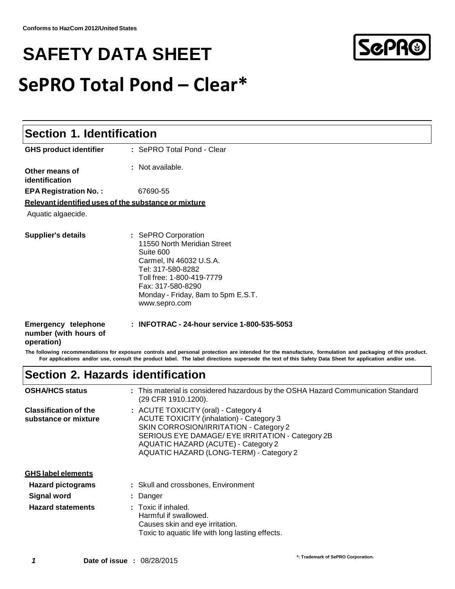# **SAFETY DATA SHEET SePRO Total Pond – Clear\***



#### **Section 1. Identification GHS product identifier Other means of identification :** SePRO Total Pond - Clear **:** Not available. **EPA Registration No. :** 67690-55 **Relevant identified uses of the substance or mixture** Aquatic algaecide. **Supplier's details :** SePRO Corporation 11550 North Meridian Street Suite 600 Carmel, IN 46032 U.S.A. Tel: 317-580-8282 Toll free: 1-800-419-7779 Fax: 317-580-8290 Monday - Friday, 8am to 5pm E.S.T[.](http://www.sepro.com/) [www.sepro.com](http://www.sepro.com/) **Emergency telephone number (with hours of operation) : INFOTRAC - 24-hour service 1-800-535-5053**

The following recommendations for exposure controls and personal protection are intended for the manufacture, formulation and packaging of this product. For applications and/or use, consult the product label. The label directions supersede the text of this Safety Data Sheet for application and/or use.

# **Section 2. Hazards identification**

| <b>OSHA/HCS status</b>                               | : This material is considered hazardous by the OSHA Hazard Communication Standard<br>(29 CFR 1910.1200).                                                                                                                                                                |
|------------------------------------------------------|-------------------------------------------------------------------------------------------------------------------------------------------------------------------------------------------------------------------------------------------------------------------------|
| <b>Classification of the</b><br>substance or mixture | : ACUTE TOXICITY (oral) - Category 4<br><b>ACUTE TOXICITY (inhalation) - Category 3</b><br>SKIN CORROSION/IRRITATION - Category 2<br>SERIOUS EYE DAMAGE/ EYE IRRITATION - Category 2B<br>AQUATIC HAZARD (ACUTE) - Category 2<br>AQUATIC HAZARD (LONG-TERM) - Category 2 |
| <b>GHS label elements</b>                            |                                                                                                                                                                                                                                                                         |
| <b>Hazard pictograms</b>                             | : Skull and crossbones, Environment                                                                                                                                                                                                                                     |
| <b>Signal word</b>                                   | : Danger                                                                                                                                                                                                                                                                |
| <b>Hazard statements</b>                             | : Toxic if inhaled.<br>Harmful if swallowed.<br>Causes skin and eye irritation.<br>Toxic to aquatic life with long lasting effects.                                                                                                                                     |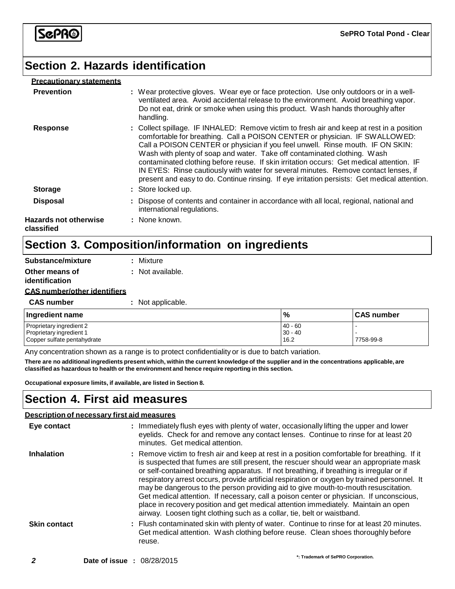# **Section 2. Hazards identification**

#### **Precautionary statements**

| <b>Prevention</b>                          | : Wear protective gloves. Wear eye or face protection. Use only outdoors or in a well-<br>ventilated area. Avoid accidental release to the environment. Avoid breathing vapor.<br>Do not eat, drink or smoke when using this product. Wash hands thoroughly after<br>handling.                                                                                                                                                                                                                                                                                                                                            |
|--------------------------------------------|---------------------------------------------------------------------------------------------------------------------------------------------------------------------------------------------------------------------------------------------------------------------------------------------------------------------------------------------------------------------------------------------------------------------------------------------------------------------------------------------------------------------------------------------------------------------------------------------------------------------------|
| <b>Response</b>                            | : Collect spillage. IF INHALED: Remove victim to fresh air and keep at rest in a position<br>comfortable for breathing. Call a POISON CENTER or physician. IF SWALLOWED:<br>Call a POISON CENTER or physician if you feel unwell. Rinse mouth. IF ON SKIN:<br>Wash with plenty of soap and water. Take off contaminated clothing. Wash<br>contaminated clothing before reuse. If skin irritation occurs: Get medical attention. IF<br>IN EYES: Rinse cautiously with water for several minutes. Remove contact lenses, if<br>present and easy to do. Continue rinsing. If eye irritation persists: Get medical attention. |
| <b>Storage</b>                             | : Store locked up.                                                                                                                                                                                                                                                                                                                                                                                                                                                                                                                                                                                                        |
| <b>Disposal</b>                            | : Dispose of contents and container in accordance with all local, regional, national and<br>international regulations.                                                                                                                                                                                                                                                                                                                                                                                                                                                                                                    |
| <b>Hazards not otherwise</b><br>classified | : None known.                                                                                                                                                                                                                                                                                                                                                                                                                                                                                                                                                                                                             |

# **Section 3. Composition/information on ingredients**

| Substance/mixture                   | : Mixture         |
|-------------------------------------|-------------------|
| Other means of<br>identification    | : Not available.  |
| <b>CAS number/other identifiers</b> |                   |
| <b>CAS number</b>                   | : Not applicable. |
| Ingredient name                     |                   |
| $\cdots$ $\cdots$                   |                   |

| Ingredient name             | $\frac{9}{6}$ | <b>CAS number</b> |
|-----------------------------|---------------|-------------------|
| Proprietary ingredient 2    | $140 - 60$    |                   |
| Proprietary ingredient 1    | $30 - 40$     |                   |
| Copper sulfate pentahydrate | 16.2          | 7758-99-8         |

Any concentration shown as a range is to protect confidentiality or is due to batch variation.

There are no additional ingredients present which, within the current knowledge of the supplier and in the concentrations applicable, are **classified as hazardous to health or the environment and hence require reporting in this section.**

**Occupational exposure limits, if available, are listed in Section 8.**

### **Section 4. First aid measures**

| Description of necessary first aid measures |                                                                                                                                                                                                                                                                                                                                                                                                                                                                                                                                                                                                                                                                                                                                      |
|---------------------------------------------|--------------------------------------------------------------------------------------------------------------------------------------------------------------------------------------------------------------------------------------------------------------------------------------------------------------------------------------------------------------------------------------------------------------------------------------------------------------------------------------------------------------------------------------------------------------------------------------------------------------------------------------------------------------------------------------------------------------------------------------|
| Eye contact                                 | : Immediately flush eyes with plenty of water, occasionally lifting the upper and lower<br>eyelids. Check for and remove any contact lenses. Continue to rinse for at least 20<br>minutes. Get medical attention.                                                                                                                                                                                                                                                                                                                                                                                                                                                                                                                    |
| Inhalation                                  | : Remove victim to fresh air and keep at rest in a position comfortable for breathing. If it<br>is suspected that fumes are still present, the rescuer should wear an appropriate mask<br>or self-contained breathing apparatus. If not breathing, if breathing is irregular or if<br>respiratory arrest occurs, provide artificial respiration or oxygen by trained personnel. It<br>may be dangerous to the person providing aid to give mouth-to-mouth resuscitation.<br>Get medical attention. If necessary, call a poison center or physician. If unconscious,<br>place in recovery position and get medical attention immediately. Maintain an open<br>airway. Loosen tight clothing such as a collar, tie, belt or waistband. |
| <b>Skin contact</b>                         | : Flush contaminated skin with plenty of water. Continue to rinse for at least 20 minutes.<br>Get medical attention. Wash clothing before reuse. Clean shoes thoroughly before<br>reuse.                                                                                                                                                                                                                                                                                                                                                                                                                                                                                                                                             |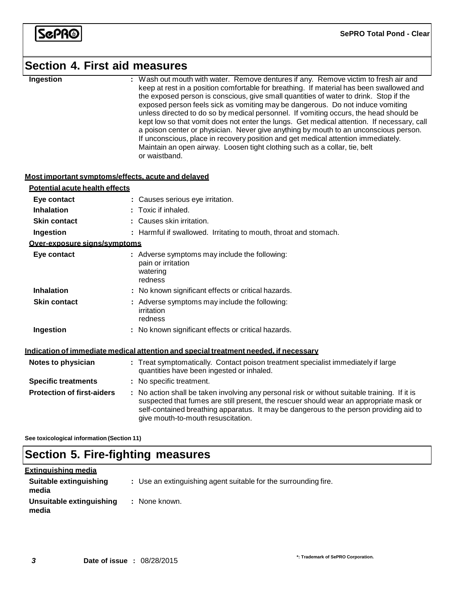

### **Section 4. First aid measures**

| Ingestion |
|-----------|
|           |

**Ingestion :** Wash out mouth with water. Remove dentures if any. Remove victim to fresh air and keep at rest in a position comfortable for breathing. If material has been swallowed and the exposed person is conscious, give small quantities of water to drink. Stop if the exposed person feels sick as vomiting may be dangerous. Do not induce vomiting unless directed to do so by medical personnel. If vomiting occurs, the head should be kept low so that vomit does not enter the lungs. Get medical attention. If necessary, call a poison center or physician. Never give anything by mouth to an unconscious person. If unconscious, place in recovery position and get medical attention immediately. Maintain an open airway. Loosen tight clothing such as a collar, tie, belt or waistband.

#### **Most important symptoms/effects, acute and delayed**

| Potential acute health effects    |                                                                                                                                                                                                                                                                                                                         |
|-----------------------------------|-------------------------------------------------------------------------------------------------------------------------------------------------------------------------------------------------------------------------------------------------------------------------------------------------------------------------|
| Eye contact                       | : Causes serious eye irritation.                                                                                                                                                                                                                                                                                        |
| <b>Inhalation</b>                 | $:$ Toxic if inhaled.                                                                                                                                                                                                                                                                                                   |
| <b>Skin contact</b>               | : Causes skin irritation.                                                                                                                                                                                                                                                                                               |
| Ingestion                         | : Harmful if swallowed. Irritating to mouth, throat and stomach.                                                                                                                                                                                                                                                        |
| Over-exposure signs/symptoms      |                                                                                                                                                                                                                                                                                                                         |
| Eye contact                       | : Adverse symptoms may include the following:<br>pain or irritation<br>watering<br>redness                                                                                                                                                                                                                              |
| <b>Inhalation</b>                 | : No known significant effects or critical hazards.                                                                                                                                                                                                                                                                     |
| <b>Skin contact</b>               | : Adverse symptoms may include the following:<br>irritation<br>redness                                                                                                                                                                                                                                                  |
| Ingestion                         | : No known significant effects or critical hazards.                                                                                                                                                                                                                                                                     |
|                                   | <u>Indication of immediate medical attention and special treatment needed. if necessary</u>                                                                                                                                                                                                                             |
| Notes to physician                | : Treat symptomatically. Contact poison treatment specialist immediately if large<br>quantities have been ingested or inhaled.                                                                                                                                                                                          |
| <b>Specific treatments</b>        | : No specific treatment.                                                                                                                                                                                                                                                                                                |
| <b>Protection of first-aiders</b> | : No action shall be taken involving any personal risk or without suitable training. If it is<br>suspected that fumes are still present, the rescuer should wear an appropriate mask or<br>self-contained breathing apparatus. It may be dangerous to the person providing aid to<br>give mouth-to-mouth resuscitation. |

**See toxicological information (Section 11)**

# **Section 5. Fire-fighting measures**

| <u>Extinguishing media</u>        |                                                                 |
|-----------------------------------|-----------------------------------------------------------------|
| Suitable extinguishing<br>media   | : Use an extinguishing agent suitable for the surrounding fire. |
| Unsuitable extinguishing<br>media | : None known.                                                   |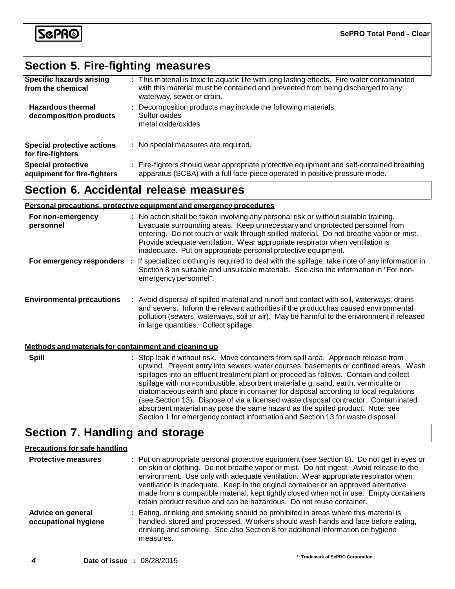

# **Section 5. Fire-fighting measures**

| <b>Specific hazards arising</b><br>from the chemical     | : This material is toxic to aquatic life with long lasting effects. Fire water contaminated<br>with this material must be contained and prevented from being discharged to any<br>waterway, sewer or drain. |
|----------------------------------------------------------|-------------------------------------------------------------------------------------------------------------------------------------------------------------------------------------------------------------|
| <b>Hazardous thermal</b><br>decomposition products       | : Decomposition products may include the following materials:<br>Sulfur oxides<br>metal oxide/oxides                                                                                                        |
| <b>Special protective actions</b><br>for fire-fighters   | : No special measures are required.                                                                                                                                                                         |
| <b>Special protective</b><br>equipment for fire-fighters | : Fire-fighters should wear appropriate protective equipment and self-contained breathing<br>apparatus (SCBA) with a full face-piece operated in positive pressure mode.                                    |

# **Section 6. Accidental release measures**

|                                                       | Personal precautions, protective equipment and emergency procedures                                                                                                                                                                                                                                                                                                                                                                                                                                                                       |
|-------------------------------------------------------|-------------------------------------------------------------------------------------------------------------------------------------------------------------------------------------------------------------------------------------------------------------------------------------------------------------------------------------------------------------------------------------------------------------------------------------------------------------------------------------------------------------------------------------------|
| For non-emergency<br>personnel                        | : No action shall be taken involving any personal risk or without suitable training.<br>Evacuate surrounding areas. Keep unnecessary and unprotected personnel from<br>entering. Do not touch or walk through spilled material. Do not breathe vapor or mist.<br>Provide adequate ventilation. Wear appropriate respirator when ventilation is<br>inadequate. Put on appropriate personal protective equipment.                                                                                                                           |
| For emergency responders :                            | If specialized clothing is required to deal with the spillage, take note of any information in<br>Section 8 on suitable and unsuitable materials. See also the information in "For non-<br>emergency personnel".                                                                                                                                                                                                                                                                                                                          |
| <b>Environmental precautions</b>                      | : Avoid dispersal of spilled material and runoff and contact with soil, waterways, drains<br>and sewers. Inform the relevant authorities if the product has caused environmental<br>pollution (sewers, waterways, soil or air). May be harmful to the environment if released<br>in large quantities. Collect spillage.                                                                                                                                                                                                                   |
| Methods and materials for containment and cleaning up |                                                                                                                                                                                                                                                                                                                                                                                                                                                                                                                                           |
| <b>Spill</b>                                          | : Stop leak if without risk. Move containers from spill area. Approach release from<br>upwind. Prevent entry into sewers, water courses, basements or confined areas. Wash<br>spillages into an effluent treatment plant or proceed as follows. Contain and collect<br>spillage with non-combustible, absorbent material e.g. sand, earth, vermiculite or<br>diatomaceous earth and place in container for disposal according to local regulations<br>(see Section 13). Dispose of via a licensed waste disposal contractor. Contaminated |

# **Section 7. Handling and storage**

#### **Precautions for safe handling**

| <b>Protective measures</b>                       | : Put on appropriate personal protective equipment (see Section 8). Do not get in eyes or<br>on skin or clothing. Do not breathe vapor or mist. Do not ingest. Avoid release to the<br>environment. Use only with adequate ventilation. Wear appropriate respirator when<br>ventilation is inadequate. Keep in the original container or an approved alternative<br>made from a compatible material, kept tightly closed when not in use. Empty containers<br>retain product residue and can be hazardous. Do not reuse container. |
|--------------------------------------------------|------------------------------------------------------------------------------------------------------------------------------------------------------------------------------------------------------------------------------------------------------------------------------------------------------------------------------------------------------------------------------------------------------------------------------------------------------------------------------------------------------------------------------------|
| <b>Advice on general</b><br>occupational hygiene | : Eating, drinking and smoking should be prohibited in areas where this material is<br>handled, stored and processed. Workers should wash hands and face before eating,<br>drinking and smoking. See also Section 8 for additional information on hygiene<br>measures.                                                                                                                                                                                                                                                             |

absorbent material may pose the same hazard as the spilled product. Note: see Section 1 for emergency contact information and Section 13 for waste disposal.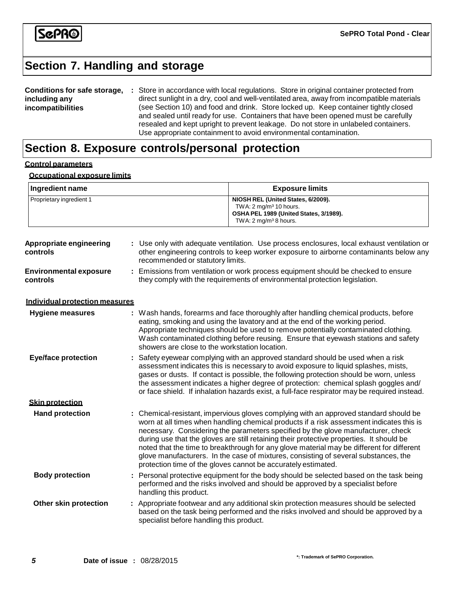

# **Section 7. Handling and storage**

| Conditions for safe storage, | : Store in accordance with local regulations. Store in original container protected from                                                                                                                                                                         |
|------------------------------|------------------------------------------------------------------------------------------------------------------------------------------------------------------------------------------------------------------------------------------------------------------|
| including any                | direct sunlight in a dry, cool and well-ventilated area, away from incompatible materials                                                                                                                                                                        |
| incompatibilities            | (see Section 10) and food and drink. Store locked up. Keep container tightly closed<br>and sealed until ready for use. Containers that have been opened must be carefully<br>resealed and kept upright to prevent leakage. Do not store in unlabeled containers. |
|                              | Use appropriate containment to avoid environmental contamination.                                                                                                                                                                                                |

# **Section 8. Exposure controls/personal protection**

#### **Control parameters**

#### **Occupational exposure limits**

| Ingredient name                           |                                                                                                                                                                | <b>Exposure limits</b>                                                                                                                                                                                                                                                                                                                                                                                                                                                                                                                                                                                               |  |
|-------------------------------------------|----------------------------------------------------------------------------------------------------------------------------------------------------------------|----------------------------------------------------------------------------------------------------------------------------------------------------------------------------------------------------------------------------------------------------------------------------------------------------------------------------------------------------------------------------------------------------------------------------------------------------------------------------------------------------------------------------------------------------------------------------------------------------------------------|--|
| Proprietary ingredient 1                  |                                                                                                                                                                | NIOSH REL (United States, 6/2009).<br>TWA: 2 mg/m <sup>3</sup> 10 hours.<br>OSHA PEL 1989 (United States, 3/1989).<br>TWA: 2 mg/m <sup>3</sup> 8 hours.                                                                                                                                                                                                                                                                                                                                                                                                                                                              |  |
| Appropriate engineering<br>controls       | recommended or statutory limits.                                                                                                                               | : Use only with adequate ventilation. Use process enclosures, local exhaust ventilation or<br>other engineering controls to keep worker exposure to airborne contaminants below any                                                                                                                                                                                                                                                                                                                                                                                                                                  |  |
| <b>Environmental exposure</b><br>controls | Emissions from ventilation or work process equipment should be checked to ensure<br>they comply with the requirements of environmental protection legislation. |                                                                                                                                                                                                                                                                                                                                                                                                                                                                                                                                                                                                                      |  |
| Individual protection measures            |                                                                                                                                                                |                                                                                                                                                                                                                                                                                                                                                                                                                                                                                                                                                                                                                      |  |
| <b>Hygiene measures</b>                   | showers are close to the workstation location.                                                                                                                 | Wash hands, forearms and face thoroughly after handling chemical products, before<br>eating, smoking and using the lavatory and at the end of the working period.<br>Appropriate techniques should be used to remove potentially contaminated clothing.<br>Wash contaminated clothing before reusing. Ensure that eyewash stations and safety                                                                                                                                                                                                                                                                        |  |
| <b>Eye/face protection</b>                |                                                                                                                                                                | Safety eyewear complying with an approved standard should be used when a risk<br>assessment indicates this is necessary to avoid exposure to liquid splashes, mists,<br>gases or dusts. If contact is possible, the following protection should be worn, unless<br>the assessment indicates a higher degree of protection: chemical splash goggles and/<br>or face shield. If inhalation hazards exist, a full-face respirator may be required instead.                                                                                                                                                              |  |
| <b>Skin protection</b>                    |                                                                                                                                                                |                                                                                                                                                                                                                                                                                                                                                                                                                                                                                                                                                                                                                      |  |
| <b>Hand protection</b>                    |                                                                                                                                                                | Chemical-resistant, impervious gloves complying with an approved standard should be<br>worn at all times when handling chemical products if a risk assessment indicates this is<br>necessary. Considering the parameters specified by the glove manufacturer, check<br>during use that the gloves are still retaining their protective properties. It should be<br>noted that the time to breakthrough for any glove material may be different for different<br>glove manufacturers. In the case of mixtures, consisting of several substances, the<br>protection time of the gloves cannot be accurately estimated. |  |
| <b>Body protection</b>                    | handling this product.                                                                                                                                         | : Personal protective equipment for the body should be selected based on the task being<br>performed and the risks involved and should be approved by a specialist before                                                                                                                                                                                                                                                                                                                                                                                                                                            |  |
| Other skin protection                     |                                                                                                                                                                | : Appropriate footwear and any additional skin protection measures should be selected<br>based on the task being performed and the risks involved and should be approved by a<br>specialist before handling this product.                                                                                                                                                                                                                                                                                                                                                                                            |  |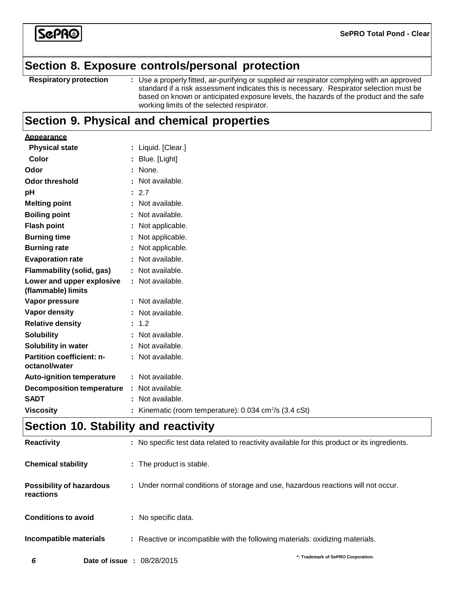

### **Section 8. Exposure controls/personal protection**

**Respiratory protection :** Use a properly fitted, air-purifying or supplied air respirator complying with an approved standard if a risk assessment indicates this is necessary. Respirator selection must be based on known or anticipated exposure levels, the hazards of the product and the safe working limits of the selected respirator.

### **Section 9. Physical and chemical properties**

| <b>Appearance</b>                                 |   |                                                                  |
|---------------------------------------------------|---|------------------------------------------------------------------|
| <b>Physical state</b>                             | ÷ | Liquid. [Clear.]                                                 |
| Color                                             |   | Blue. [Light]                                                    |
| Odor                                              |   | None.                                                            |
| <b>Odor threshold</b>                             |   | Not available.                                                   |
| рH                                                |   | : 2.7                                                            |
| <b>Melting point</b>                              |   | : Not available.                                                 |
| <b>Boiling point</b>                              |   | Not available.                                                   |
| <b>Flash point</b>                                |   | Not applicable.                                                  |
| <b>Burning time</b>                               |   | Not applicable.                                                  |
| <b>Burning rate</b>                               |   | Not applicable.                                                  |
| <b>Evaporation rate</b>                           |   | Not available.                                                   |
| <b>Flammability (solid, gas)</b>                  |   | Not available.                                                   |
| Lower and upper explosive<br>(flammable) limits   |   | : Not available.                                                 |
| Vapor pressure                                    |   | Not available.                                                   |
| <b>Vapor density</b>                              |   | : Not available.                                                 |
| <b>Relative density</b>                           |   | 1.2                                                              |
| <b>Solubility</b>                                 |   | Not available.                                                   |
| Solubility in water                               |   | : Not available.                                                 |
| <b>Partition coefficient: n-</b><br>octanol/water |   | : Not available.                                                 |
| <b>Auto-ignition temperature</b>                  |   | : Not available.                                                 |
| <b>Decomposition temperature</b>                  |   | : Not available.                                                 |
| <b>SADT</b>                                       |   | Not available.                                                   |
| <b>Viscosity</b>                                  |   | Kinematic (room temperature): 0.034 cm <sup>2</sup> /s (3.4 cSt) |

# **Section 10. Stability and reactivity**

| <b>Reactivity</b>                            |                                   | : No specific test data related to reactivity available for this product or its ingredients. |                                    |
|----------------------------------------------|-----------------------------------|----------------------------------------------------------------------------------------------|------------------------------------|
| <b>Chemical stability</b>                    |                                   | : The product is stable.                                                                     |                                    |
| <b>Possibility of hazardous</b><br>reactions |                                   | : Under normal conditions of storage and use, hazardous reactions will not occur.            |                                    |
| <b>Conditions to avoid</b>                   |                                   | : No specific data.                                                                          |                                    |
| Incompatible materials                       |                                   | : Reactive or incompatible with the following materials: oxidizing materials.                |                                    |
| 6                                            | <b>Date of issue : 08/28/2015</b> |                                                                                              | *: Trademark of SePRO Corporation. |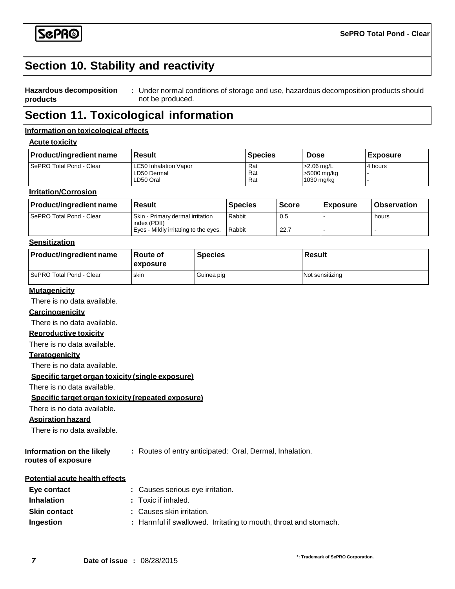

### **Section 10. Stability and reactivity**

#### **Hazardous decomposition products :** Under normal conditions of storage and use, hazardous decomposition products should not be produced.

### **Section 11. Toxicological information**

#### **Information on toxicological effects**

#### **Acute toxicity**

| <b>Product/ingredient name</b> | l Result                                          | <b>Species</b>    | <b>Dose</b>                                 | <b>Exposure</b> |
|--------------------------------|---------------------------------------------------|-------------------|---------------------------------------------|-----------------|
| SePRO Total Pond - Clear       | LC50 Inhalation Vapor<br>LD50 Dermal<br>LD50 Oral | Rat<br>Rat<br>Rat | $>2.06$ ma/L<br>>5000 mg/kg<br>$1030$ mg/kg | 4 hours         |

#### **Irritation/Corrosion**

| <b>Product/ingredient name</b> | <b>Result</b>                                    | <b>Species</b> | <b>Score</b> | <b>Exposure</b> | <b>Observation</b> |
|--------------------------------|--------------------------------------------------|----------------|--------------|-----------------|--------------------|
| SePRO Total Pond - Clear       | Skin - Primary dermal irritation<br>index (PDII) | Rabbit         | 0.5          |                 | hours              |
|                                | Eyes - Mildly irritating to the eyes.            | Rabbit         | 22.7         |                 |                    |

#### **Sensitization**

| <b>Product/ingredient name</b> | Route of<br><b>lexposure</b> | <b>Species</b> | Result          |
|--------------------------------|------------------------------|----------------|-----------------|
| SePRO Total Pond - Clear       | skin                         | Guinea pig     | Not sensitizing |

#### **Mutagenicity**

There is no data available.

#### **Carcinogenicity**

There is no data available.

#### **Reproductive toxicity**

There is no data available.

#### **Teratogenicity**

There is no data available.

#### **Specific target organ toxicity (single exposure)**

There is no data available.

#### **Specific target organ toxicity (repeated exposure)**

There is no data available.

#### **Aspiration hazard**

There is no data available.

**Information on the likely routes of exposure :** Routes of entry anticipated: Oral, Dermal, Inhalation.

#### **Potential acute health effects**

| Eye contact         | : Causes serious eve irritation.                                 |
|---------------------|------------------------------------------------------------------|
| <b>Inhalation</b>   | : Toxic if inhaled.                                              |
| <b>Skin contact</b> | : Causes skin irritation.                                        |
| Ingestion           | : Harmful if swallowed. Irritating to mouth, throat and stomach. |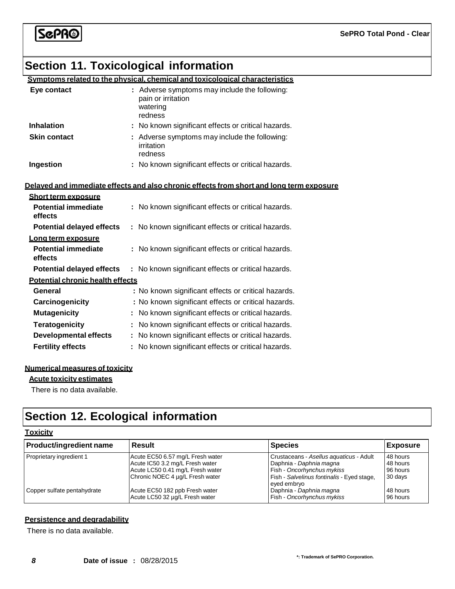# ScPR®

# **Section 11. Toxicological information**

|                                                                     | Symptoms related to the physical, chemical and toxicological characteristics               |
|---------------------------------------------------------------------|--------------------------------------------------------------------------------------------|
| Eye contact                                                         | : Adverse symptoms may include the following:<br>pain or irritation<br>watering<br>redness |
| <b>Inhalation</b>                                                   | : No known significant effects or critical hazards.                                        |
| <b>Skin contact</b>                                                 | : Adverse symptoms may include the following:<br>irritation<br>redness                     |
| Ingestion                                                           | : No known significant effects or critical hazards.                                        |
|                                                                     |                                                                                            |
|                                                                     | Delayed and immediate effects and also chronic effects from short and long term exposure   |
| <b>Short term exposure</b><br><b>Potential immediate</b><br>effects | : No known significant effects or critical hazards.                                        |
| <b>Potential delayed effects</b>                                    | : No known significant effects or critical hazards.                                        |
| <u>Long term exposure</u>                                           |                                                                                            |
| <b>Potential immediate</b><br>effects                               | : No known significant effects or critical hazards.                                        |
| <b>Potential delayed effects</b>                                    | : No known significant effects or critical hazards.                                        |
| <b>Potential chronic health effects</b>                             |                                                                                            |
| General                                                             | : No known significant effects or critical hazards.                                        |
| Carcinogenicity                                                     | : No known significant effects or critical hazards.                                        |
| <b>Mutagenicity</b>                                                 | No known significant effects or critical hazards.                                          |
| <b>Teratogenicity</b>                                               | No known significant effects or critical hazards.                                          |
| <b>Developmental effects</b>                                        | : No known significant effects or critical hazards.                                        |
| <b>Fertility effects</b>                                            | : No known significant effects or critical hazards.                                        |
|                                                                     |                                                                                            |

#### **Numerical measures of toxicity**

#### **Acute toxicity estimates**

There is no data available.

# **Section 12. Ecological information**

#### **Toxicity**

| <b>Product/ingredient name</b> | <b>Result</b>                                                                                                                              | <b>Species</b>                                                                                                                                 | <b>Exposure</b>                             |
|--------------------------------|--------------------------------------------------------------------------------------------------------------------------------------------|------------------------------------------------------------------------------------------------------------------------------------------------|---------------------------------------------|
| Proprietary ingredient 1       | Acute EC50 6.57 mg/L Fresh water<br>Acute IC50 3.2 mg/L Fresh water<br>Acute LC50 0.41 mg/L Fresh water<br>Chronic NOEC 4 µg/L Fresh water | Crustaceans - Asellus aguaticus - Adult<br>Daphnia - Daphnia magna<br>Fish - Oncorhynchus mykiss<br>Fish - Salvelinus fontinalis - Eyed stage, | 48 hours<br>48 hours<br>96 hours<br>30 days |
| Copper sulfate pentahydrate    | Acute EC50 182 ppb Fresh water<br>Acute LC50 32 µg/L Fresh water                                                                           | eyed embryo<br>Daphnia - Daphnia magna<br>Fish - Oncorhynchus mykiss                                                                           | 48 hours<br>96 hours                        |

#### **Persistence and degradability**

There is no data available.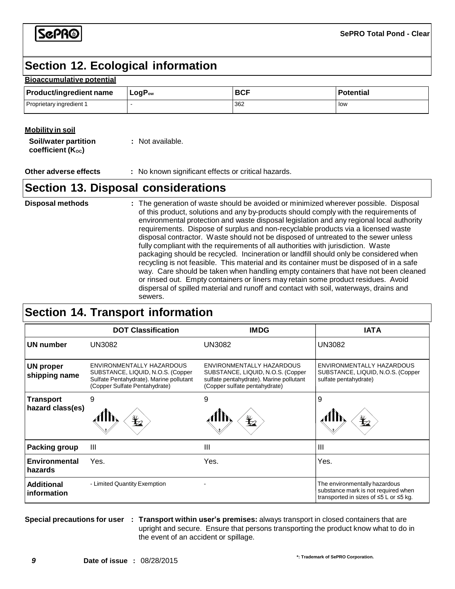SGPR®

# **Section 12. Ecological information**

#### **Bioaccumulative potential**

| <b>Product/ingredient name</b> | ⊺LoqP <sub>∾</sub> | <b>BCF</b> | Potential |
|--------------------------------|--------------------|------------|-----------|
| Proprietary ingredient 1       |                    | 362        | low       |

#### **Mobility in soil**

| <b>Soil/water partition</b> | : Not available. |
|-----------------------------|------------------|
| coefficient $(K_{oc})$      |                  |

**Other adverse effects :** No known significant effects or critical hazards.

### **Section 13. Disposal considerations**

| <b>Disposal methods</b> | : The generation of waste should be avoided or minimized wherever possible. Disposal<br>of this product, solutions and any by-products should comply with the requirements of<br>environmental protection and waste disposal legislation and any regional local authority<br>requirements. Dispose of surplus and non-recyclable products via a licensed waste<br>disposal contractor. Waste should not be disposed of untreated to the sewer unless<br>fully compliant with the requirements of all authorities with jurisdiction. Waste<br>packaging should be recycled. Incineration or landfill should only be considered when<br>recycling is not feasible. This material and its container must be disposed of in a safe<br>way. Care should be taken when handling empty containers that have not been cleaned<br>or rinsed out. Empty containers or liners may retain some product residues. Avoid<br>dispersal of spilled material and runoff and contact with soil, waterways, drains and |
|-------------------------|-----------------------------------------------------------------------------------------------------------------------------------------------------------------------------------------------------------------------------------------------------------------------------------------------------------------------------------------------------------------------------------------------------------------------------------------------------------------------------------------------------------------------------------------------------------------------------------------------------------------------------------------------------------------------------------------------------------------------------------------------------------------------------------------------------------------------------------------------------------------------------------------------------------------------------------------------------------------------------------------------------|
|                         | sewers.                                                                                                                                                                                                                                                                                                                                                                                                                                                                                                                                                                                                                                                                                                                                                                                                                                                                                                                                                                                             |

# **Section 14. Transport information**

|                                      | <b>DOT Classification</b>                                                                                                                  | <b>IMDG</b>                                                                                                                                       | <b>IATA</b>                                                                                                                |
|--------------------------------------|--------------------------------------------------------------------------------------------------------------------------------------------|---------------------------------------------------------------------------------------------------------------------------------------------------|----------------------------------------------------------------------------------------------------------------------------|
| UN number                            | UN3082                                                                                                                                     | UN3082                                                                                                                                            | <b>UN3082</b>                                                                                                              |
| <b>UN proper</b><br>shipping name    | ENVIRONMENTALLY HAZARDOUS<br>SUBSTANCE, LIQUID, N.O.S. (Copper<br>Sulfate Pentahydrate). Marine pollutant<br>(Copper Sulfate Pentahydrate) | <b>FNVIRONMENTALLY HAZARDOUS</b><br>SUBSTANCE, LIQUID, N.O.S. (Copper<br>sulfate pentahydrate). Marine pollutant<br>(Copper sulfate pentahydrate) | ENVIRONMENTALLY HAZARDOUS<br>SUBSTANCE, LIQUID, N.O.S. (Copper<br>sulfate pentahydrate)                                    |
| <b>Transport</b><br>hazard class(es) | 9<br>$\bigstar$                                                                                                                            | 9<br>$\mathbf{Y}_{2}$                                                                                                                             | 9<br>$\bigstar$                                                                                                            |
| <b>Packing group</b>                 | Ш                                                                                                                                          | Ш                                                                                                                                                 | $\mathbf{III}$                                                                                                             |
| Environmental<br>hazards             | Yes.                                                                                                                                       | Yes.                                                                                                                                              | Yes.                                                                                                                       |
| <b>Additional</b><br>information     | - Limited Quantity Exemption                                                                                                               |                                                                                                                                                   | The environmentally hazardous<br>substance mark is not required when<br>transported in sizes of $\leq 5$ L or $\leq 5$ kg. |

**Special precautions for user : Transport within user's premises:** always transport in closed containers that are upright and secure. Ensure that persons transporting the product know what to do in the event of an accident or spillage.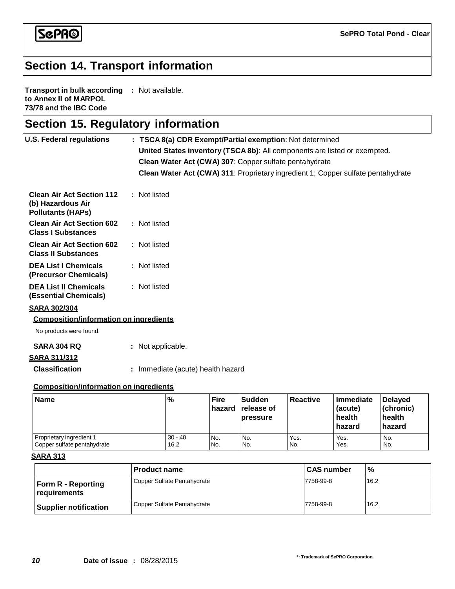

# **Section 14. Transport information**

**Transport in bulk according :** Not available. **to Annex II of MARPOL 73/78 and the IBC Code**

|  |  |  | <b>Section 15. Regulatory information</b> |
|--|--|--|-------------------------------------------|
|--|--|--|-------------------------------------------|

| <b>U.S. Federal regulations</b>                                                   | : TSCA 8(a) CDR Exempt/Partial exemption: Not determined<br>United States inventory (TSCA 8b): All components are listed or exempted.<br>Clean Water Act (CWA) 307: Copper sulfate pentahydrate<br>Clean Water Act (CWA) 311: Proprietary ingredient 1; Copper sulfate pentahydrate |
|-----------------------------------------------------------------------------------|-------------------------------------------------------------------------------------------------------------------------------------------------------------------------------------------------------------------------------------------------------------------------------------|
| <b>Clean Air Act Section 112</b><br>(b) Hazardous Air<br><b>Pollutants (HAPs)</b> | : Not listed                                                                                                                                                                                                                                                                        |
| <b>Clean Air Act Section 602</b><br><b>Class I Substances</b>                     | : Not listed                                                                                                                                                                                                                                                                        |
| <b>Clean Air Act Section 602</b><br><b>Class II Substances</b>                    | : Not listed                                                                                                                                                                                                                                                                        |
| <b>DEA List I Chemicals</b><br>(Precursor Chemicals)                              | : Not listed                                                                                                                                                                                                                                                                        |
| <b>DEA List II Chemicals</b><br>(Essential Chemicals)                             | : Not listed                                                                                                                                                                                                                                                                        |
| <b>SARA 302/304</b><br><b>Composition/information on ingredients</b>              |                                                                                                                                                                                                                                                                                     |
| No products were found.<br><b>SARA 304 RQ</b>                                     | : Not applicable.                                                                                                                                                                                                                                                                   |
| <b>SARA 311/312</b>                                                               |                                                                                                                                                                                                                                                                                     |
| <b>Classification</b>                                                             | : Immediate (acute) health hazard                                                                                                                                                                                                                                                   |
| <b>Composition/information on ingredients</b>                                     |                                                                                                                                                                                                                                                                                     |
|                                                                                   |                                                                                                                                                                                                                                                                                     |

| Name                        | $\%$      | <b>Fire</b><br>hazard | <b>Sudden</b><br><b>release of</b><br><b>pressure</b> | <b>Reactive</b> | Immediate<br>(acute)<br>health<br>hazard | Delayed<br>(chronic)<br>health<br>hazard |
|-----------------------------|-----------|-----------------------|-------------------------------------------------------|-----------------|------------------------------------------|------------------------------------------|
| Proprietary ingredient 1    | $30 - 40$ | No.                   | No.                                                   | Yes.            | Yes.                                     | No.                                      |
| Copper sulfate pentahydrate | 16.2      | No.                   | No.                                                   | No.             | Yes.                                     | No.                                      |

#### **SARA 313**

|                                             | l Product name              | <b>CAS number</b> | $\%$ |
|---------------------------------------------|-----------------------------|-------------------|------|
| <b>Form R - Reporting</b><br>l reauirements | Copper Sulfate Pentahydrate | 7758-99-8         | 16.2 |
| <b>Supplier notification</b>                | Copper Sulfate Pentahydrate | 7758-99-8         | 16.2 |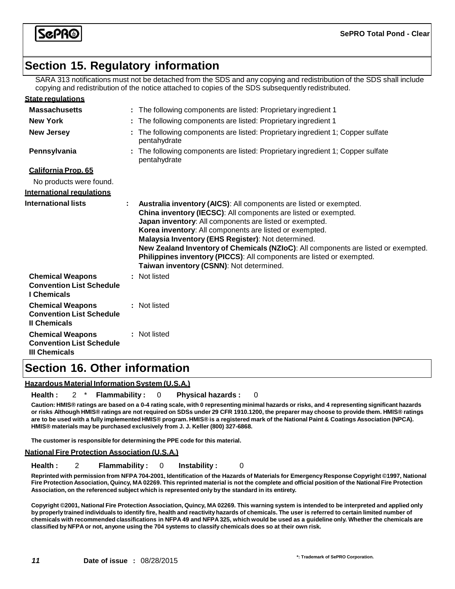SGPR®

# **Section 15. Regulatory information**

SARA 313 notifications must not be detached from the SDS and any copying and redistribution of the SDS shall include copying and redistribution of the notice attached to copies of the SDS subsequently redistributed.

| <b>State regulations</b>                                                           |                                                                                                                                                                                                                                                                                                                                                                                                                                                                                                                              |
|------------------------------------------------------------------------------------|------------------------------------------------------------------------------------------------------------------------------------------------------------------------------------------------------------------------------------------------------------------------------------------------------------------------------------------------------------------------------------------------------------------------------------------------------------------------------------------------------------------------------|
| <b>Massachusetts</b>                                                               | : The following components are listed: Proprietary ingredient 1                                                                                                                                                                                                                                                                                                                                                                                                                                                              |
| <b>New York</b>                                                                    | : The following components are listed: Proprietary ingredient 1                                                                                                                                                                                                                                                                                                                                                                                                                                                              |
| <b>New Jersey</b>                                                                  | The following components are listed: Proprietary ingredient 1; Copper sulfate<br>pentahydrate                                                                                                                                                                                                                                                                                                                                                                                                                                |
| Pennsylvania                                                                       | : The following components are listed: Proprietary ingredient 1; Copper sulfate<br>pentahydrate                                                                                                                                                                                                                                                                                                                                                                                                                              |
| California Prop. 65                                                                |                                                                                                                                                                                                                                                                                                                                                                                                                                                                                                                              |
| No products were found.                                                            |                                                                                                                                                                                                                                                                                                                                                                                                                                                                                                                              |
| <b>International requlations</b>                                                   |                                                                                                                                                                                                                                                                                                                                                                                                                                                                                                                              |
| <b>International lists</b>                                                         | Australia inventory (AICS): All components are listed or exempted.<br>China inventory (IECSC): All components are listed or exempted.<br>Japan inventory: All components are listed or exempted.<br>Korea inventory: All components are listed or exempted.<br>Malaysia Inventory (EHS Register): Not determined.<br>New Zealand Inventory of Chemicals (NZIoC): All components are listed or exempted.<br>Philippines inventory (PICCS): All components are listed or exempted.<br>Taiwan inventory (CSNN): Not determined. |
| <b>Chemical Weapons</b><br><b>Convention List Schedule</b><br>I Chemicals          | : Not listed                                                                                                                                                                                                                                                                                                                                                                                                                                                                                                                 |
| <b>Chemical Weapons</b><br><b>Convention List Schedule</b><br><b>II Chemicals</b>  | : Not listed                                                                                                                                                                                                                                                                                                                                                                                                                                                                                                                 |
| <b>Chemical Weapons</b><br><b>Convention List Schedule</b><br><b>III Chemicals</b> | : Not listed                                                                                                                                                                                                                                                                                                                                                                                                                                                                                                                 |

### **Section 16. Other information**

#### **Hazardous Material Information System (U.S.A.)**

**Health :** 2 \* **Flammability :** 0 **Physical hazards :** 0

Caution: HMIS® ratings are based on a 0-4 rating scale, with 0 representing minimal hazards or risks, and 4 representing significant hazards or risks Although HMIS® ratings are not required on SDSs under 29 CFR 1910.1200, the preparer may choose to provide them. HMIS® ratings are to be used with a fully implemented HMIS® program. HMIS® is a registered mark of the National Paint & Coatings Association (NPCA). **HMIS® materials may be purchased exclusively from J. J. Keller (800) 327-6868.**

**The customer is responsible for determining the PPE code for this material.**

#### **National Fire Protection Association (U.S.A.)**

**Health :** 2 **Flammability :** 0 **Instability :** 0

Reprinted with permission from NFPA 704-2001, Identification of the Hazards of Materials for Emergency Response Copyright ©1997, National Fire Protection Association, Quincy, MA 02269. This reprinted material is not the complete and official position of the National Fire Protection **Association, on the referenced subject which is represented only by the standard in its entirety.**

Copyright @2001, National Fire Protection Association, Quincy, MA 02269. This warning system is intended to be interpreted and applied only by properly trained individuals to identify fire, health and reactivity hazards of chemicals. The user is referred to certain limited number of chemicals with recommended classifications in NFPA 49 and NFPA 325, which would be used as a guideline only. Whether the chemicals are classified by NFPA or not, anyone using the 704 systems to classify chemicals does so at their own risk.